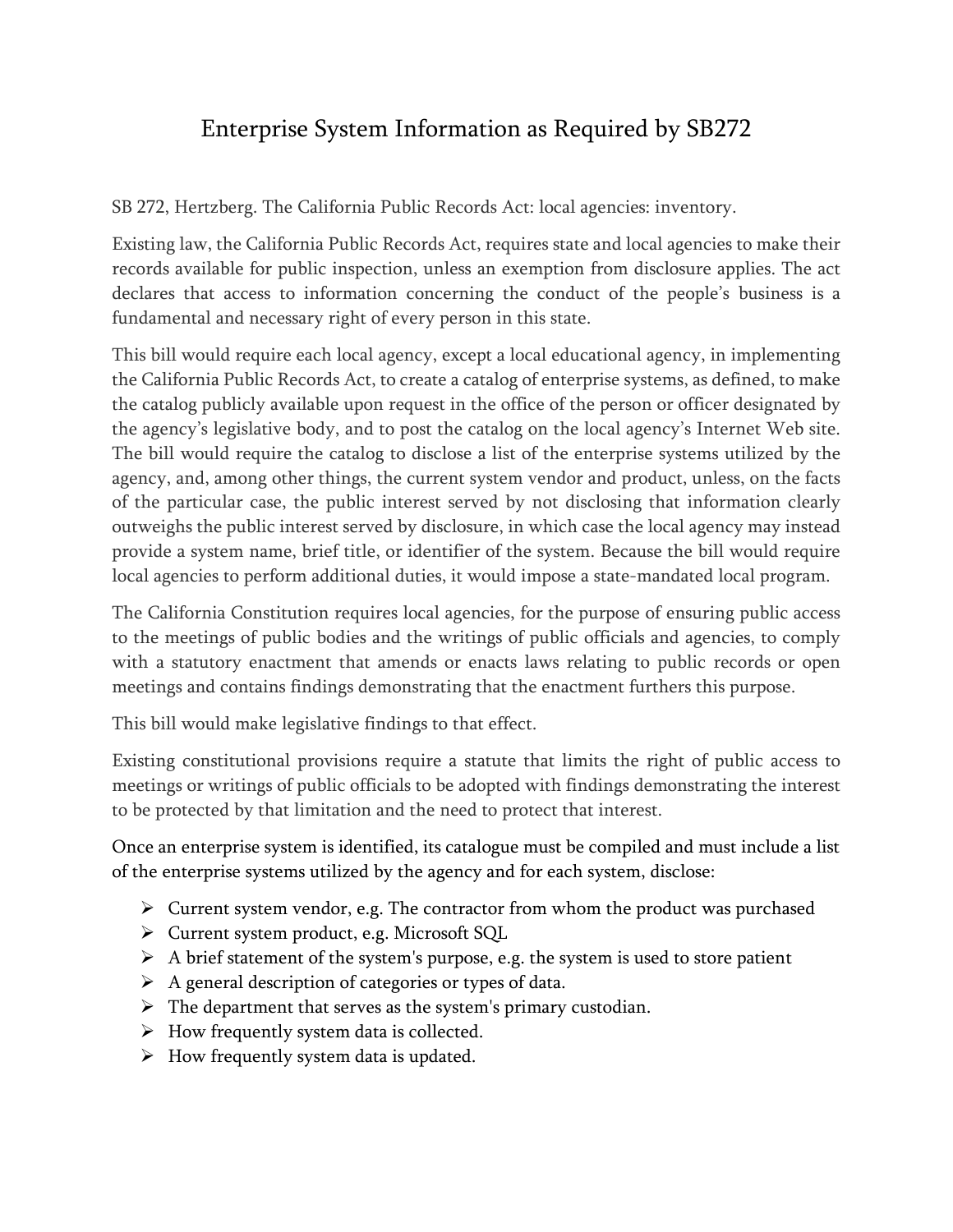## Enterprise System Information as Required by SB272

SB 272, Hertzberg. The California Public Records Act: local agencies: inventory.

Existing law, the California Public Records Act, requires state and local agencies to make their records available for public inspection, unless an exemption from disclosure applies. The act declares that access to information concerning the conduct of the people's business is a fundamental and necessary right of every person in this state.

This bill would require each local agency, except a local educational agency, in implementing the California Public Records Act, to create a catalog of enterprise systems, as defined, to make the catalog publicly available upon request in the office of the person or officer designated by the agency's legislative body, and to post the catalog on the local agency's Internet Web site. The bill would require the catalog to disclose a list of the enterprise systems utilized by the agency, and, among other things, the current system vendor and product, unless, on the facts of the particular case, the public interest served by not disclosing that information clearly outweighs the public interest served by disclosure, in which case the local agency may instead provide a system name, brief title, or identifier of the system. Because the bill would require local agencies to perform additional duties, it would impose a state-mandated local program.

The California Constitution requires local agencies, for the purpose of ensuring public access to the meetings of public bodies and the writings of public officials and agencies, to comply with a statutory enactment that amends or enacts laws relating to public records or open meetings and contains findings demonstrating that the enactment furthers this purpose.

This bill would make legislative findings to that effect.

Existing constitutional provisions require a statute that limits the right of public access to meetings or writings of public officials to be adopted with findings demonstrating the interest to be protected by that limitation and the need to protect that interest.

Once an enterprise system is identified, its catalogue must be compiled and must include a list of the enterprise systems utilized by the agency and for each system, disclose:

- ➢ Current system vendor, e.g. The contractor from whom the product was purchased
- ➢ Current system product, e.g. Microsoft SQL
- $\triangleright$  A brief statement of the system's purpose, e.g. the system is used to store patient
- $\triangleright$  A general description of categories or types of data.
- $\triangleright$  The department that serves as the system's primary custodian.
- $\triangleright$  How frequently system data is collected.
- $\triangleright$  How frequently system data is updated.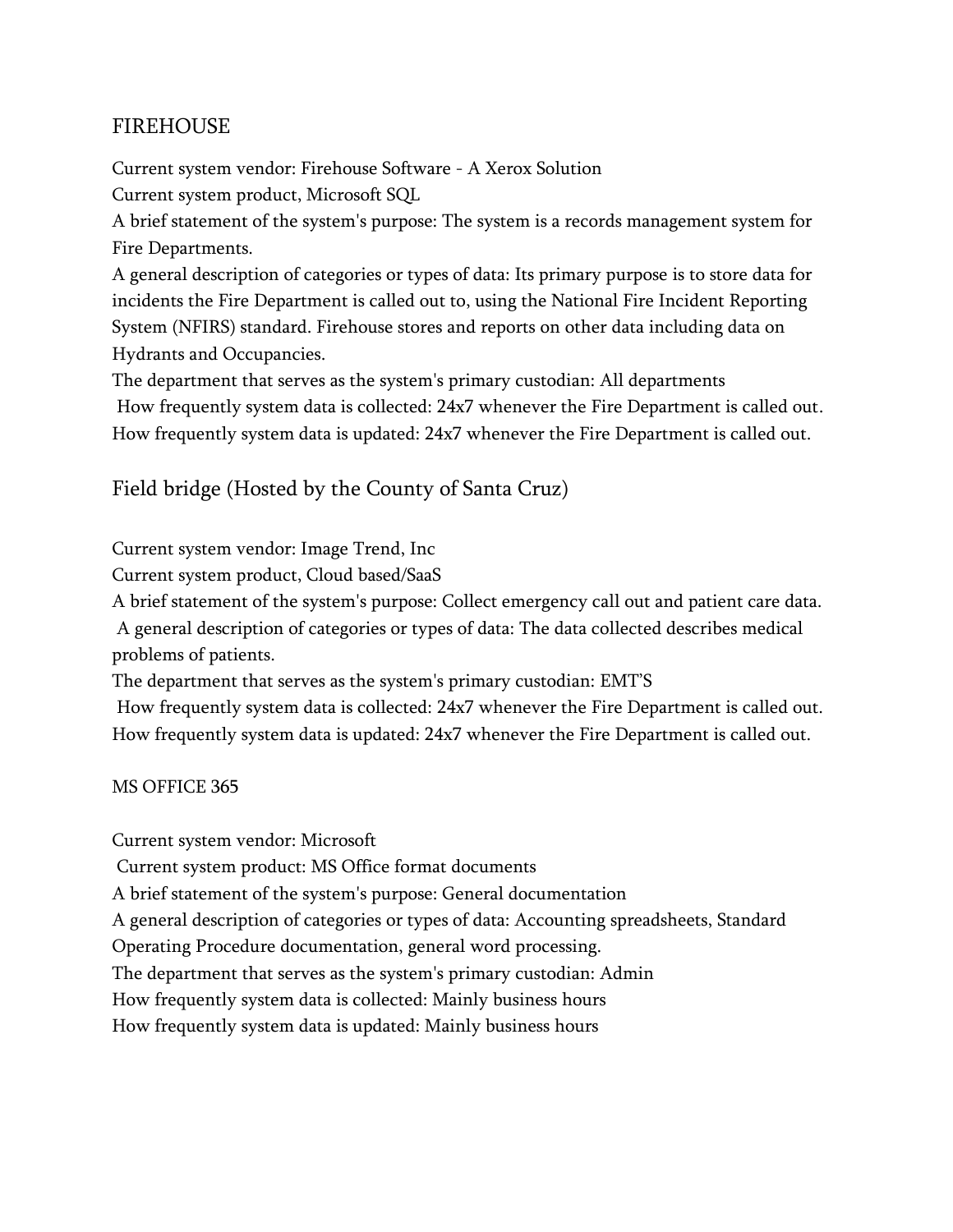## FIREHOUSE

Current system vendor: Firehouse Software - A Xerox Solution Current system product, Microsoft SQL

A brief statement of the system's purpose: The system is a records management system for Fire Departments.

A general description of categories or types of data: Its primary purpose is to store data for incidents the Fire Department is called out to, using the National Fire Incident Reporting System (NFIRS) standard. Firehouse stores and reports on other data including data on Hydrants and Occupancies.

The department that serves as the system's primary custodian: All departments How frequently system data is collected: 24x7 whenever the Fire Department is called out. How frequently system data is updated: 24x7 whenever the Fire Department is called out.

Field bridge (Hosted by the County of Santa Cruz)

Current system vendor: Image Trend, Inc

Current system product, Cloud based/SaaS

A brief statement of the system's purpose: Collect emergency call out and patient care data.

A general description of categories or types of data: The data collected describes medical problems of patients.

The department that serves as the system's primary custodian: EMT'S

How frequently system data is collected: 24x7 whenever the Fire Department is called out. How frequently system data is updated: 24x7 whenever the Fire Department is called out.

MS OFFICE 365

Current system vendor: Microsoft

Current system product: MS Office format documents

A brief statement of the system's purpose: General documentation

A general description of categories or types of data: Accounting spreadsheets, Standard

Operating Procedure documentation, general word processing.

The department that serves as the system's primary custodian: Admin

How frequently system data is collected: Mainly business hours

How frequently system data is updated: Mainly business hours